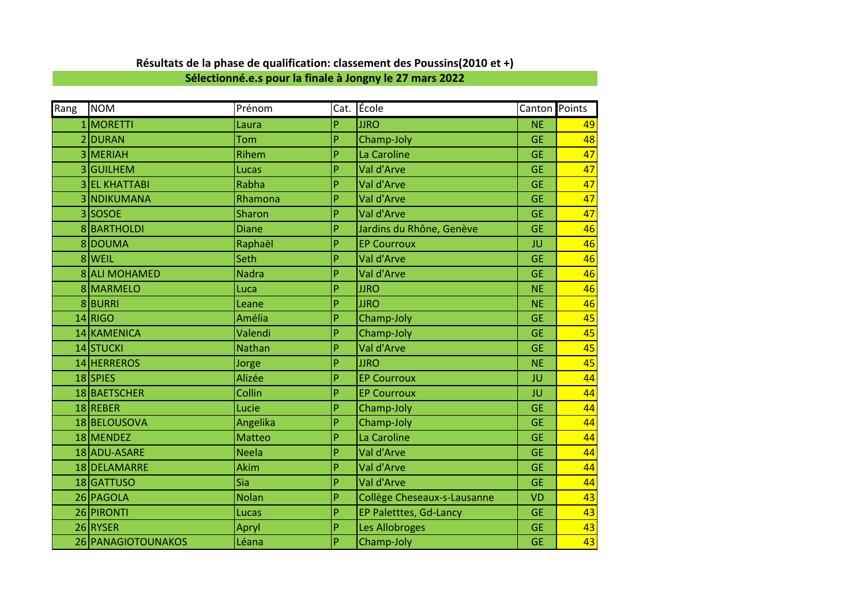| Rang | <b>NOM</b>         | Prénom        |   | Cat. École                  | Canton Points |    |
|------|--------------------|---------------|---|-----------------------------|---------------|----|
|      | 1 MORETTI          | Laura         | P | <b>JJRO</b>                 | <b>NE</b>     | 49 |
|      | 2 DURAN            | Tom           | P | Champ-Joly                  | <b>GE</b>     | 48 |
|      | 3 MERIAH           | Rihem         | P | La Caroline                 | <b>GE</b>     | 47 |
|      | 3 GUILHEM          | Lucas         | P | Val d'Arve                  | <b>GE</b>     | 47 |
|      | 3 EL KHATTABI      | Rabha         | P | Val d'Arve                  | <b>GE</b>     | 47 |
|      | 3 NDIKUMANA        | Rhamona       | P | Val d'Arve                  | <b>GE</b>     | 47 |
|      | 3 SOSOE            | <b>Sharon</b> | P | Val d'Arve                  | <b>GE</b>     | 47 |
|      | 8BARTHOLDI         | <b>Diane</b>  | P | Jardins du Rhône, Genève    | <b>GE</b>     | 46 |
|      | 800UMA             | Raphaël       | P | <b>EP Courroux</b>          | JU            | 46 |
|      | 8 WEIL             | Seth          | P | Val d'Arve                  | <b>GE</b>     | 46 |
|      | 8 ALI MOHAMED      | <b>Nadra</b>  | P | Val d'Arve                  | <b>GE</b>     | 46 |
|      | 8 MARMELO          | Luca          | P | <b>JJRO</b>                 | <b>NE</b>     | 46 |
|      | 8BURRI             | Leane         | P | <b>JJRO</b>                 | <b>NE</b>     | 46 |
|      | $14$ RIGO          | Amélia        | P | Champ-Joly                  | <b>GE</b>     | 45 |
|      | 14 KAMENICA        | Valendi       | P | Champ-Joly                  | <b>GE</b>     | 45 |
|      | 14 STUCKI          | <b>Nathan</b> | P | Val d'Arve                  | <b>GE</b>     | 45 |
|      | 14 HERREROS        | Jorge         | P | <b>JJRO</b>                 | <b>NE</b>     | 45 |
|      | 18 SPIES           | Alizée        | P | <b>EP Courroux</b>          | JU            | 44 |
|      | 18 BAETSCHER       | Collin        | P | <b>EP Courroux</b>          | JU            | 44 |
|      | 18REBER            | Lucie         | P | Champ-Joly                  | <b>GE</b>     | 44 |
|      | 18 BELOUSOVA       | Angelika      | P | Champ-Joly                  | <b>GE</b>     | 44 |
|      | 18 MENDEZ          | <b>Matteo</b> | P | La Caroline                 | <b>GE</b>     | 44 |
|      | 18 ADU-ASARE       | <b>Neela</b>  | P | Val d'Arve                  | <b>GE</b>     | 44 |
|      | 18 DELAMARRE       | <b>Akim</b>   | P | Val d'Arve                  | <b>GE</b>     | 44 |
|      | 18 GATTUSO         | Sia           | P | Val d'Arve                  | <b>GE</b>     | 44 |
|      | 26 PAGOLA          | <b>Nolan</b>  | P | Collège Cheseaux-s-Lausanne | <b>VD</b>     | 43 |
|      | 26 PIRONTI         | Lucas         | P | EP Paletttes, Gd-Lancy      | <b>GE</b>     | 43 |
|      | 26 RYSER           | Apryl         | P | Les Allobroges              | <b>GE</b>     | 43 |
|      | 26 PANAGIOTOUNAKOS | Léana         | P | Champ-Joly                  | <b>GE</b>     | 43 |

## **Résultats de la phase de qualification: classement des Poussins(2010 et +)**

**Sélectionné.e.s pour la finale à Jongny le 27 mars 2022**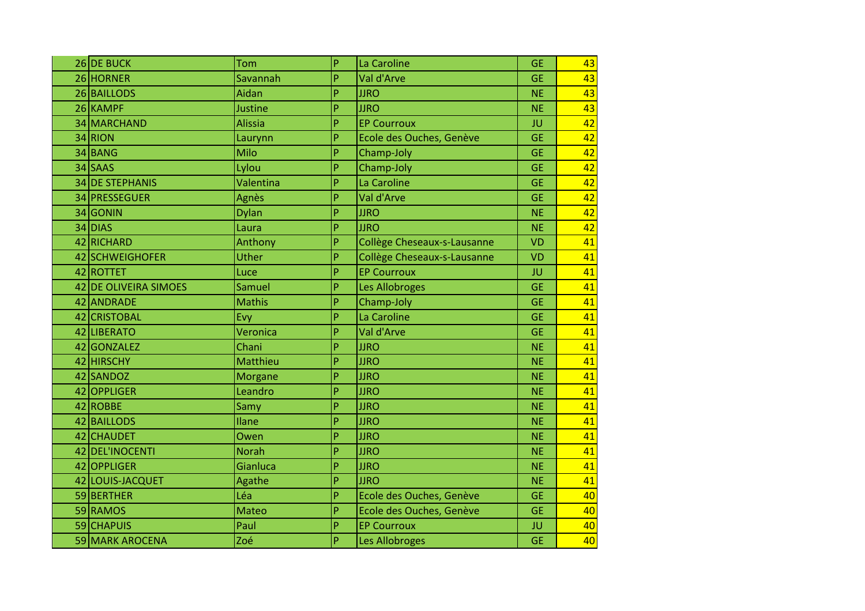| 26 DE BUCK            | Tom            | P | La Caroline                 | <b>GE</b> | 43 |
|-----------------------|----------------|---|-----------------------------|-----------|----|
| 26 HORNER             | Savannah       | P | Val d'Arve                  | <b>GE</b> | 43 |
| 26 BAILLODS           | Aidan          | P | <b>JJRO</b>                 | <b>NE</b> | 43 |
| 26 KAMPF              | Justine        | P | <b>JJRO</b>                 | <b>NE</b> | 43 |
| 34 MARCHAND           | <b>Alissia</b> | P | <b>EP Courroux</b>          | JU        | 42 |
| 34 RION               | Laurynn        | P | Ecole des Ouches, Genève    | <b>GE</b> | 42 |
| 34 BANG               | Milo           | P | Champ-Joly                  | <b>GE</b> | 42 |
| 34 SAAS               | Lylou          | P | Champ-Joly                  | <b>GE</b> | 42 |
| 34 DE STEPHANIS       | Valentina      | P | La Caroline                 | <b>GE</b> | 42 |
| 34 PRESSEGUER         | Agnès          | P | Val d'Arve                  | <b>GE</b> | 42 |
| 34 GONIN              | <b>Dylan</b>   | P | <b>JJRO</b>                 | <b>NE</b> | 42 |
| 34 DIAS               | Laura          | P | <b>JJRO</b>                 | <b>NE</b> | 42 |
| 42 RICHARD            | Anthony        | P | Collège Cheseaux-s-Lausanne | <b>VD</b> | 41 |
| 42 SCHWEIGHOFER       | Uther          | P | Collège Cheseaux-s-Lausanne | <b>VD</b> | 41 |
| 42 ROTTET             | Luce           | P | <b>EP Courroux</b>          | JU        | 41 |
| 42 DE OLIVEIRA SIMOES | Samuel         | P | Les Allobroges              | <b>GE</b> | 41 |
| 42 ANDRADE            | <b>Mathis</b>  | P | Champ-Joly                  | <b>GE</b> | 41 |
| 42 CRISTOBAL          | Evy            | P | La Caroline                 | <b>GE</b> | 41 |
| 42 LIBERATO           | Veronica       | P | Val d'Arve                  | <b>GE</b> | 41 |
| 42 GONZALEZ           | Chani          | P | <b>JJRO</b>                 | <b>NE</b> | 41 |
| 42 HIRSCHY            | Matthieu       | P | <b>JJRO</b>                 | <b>NE</b> | 41 |
| 42 SANDOZ             | <b>Morgane</b> | P | <b>JJRO</b>                 | <b>NE</b> | 41 |
| 42 OPPLIGER           | Leandro        | P | <b>JJRO</b>                 | <b>NE</b> | 41 |
| 42 ROBBE              | Samy           | P | <b>JJRO</b>                 | <b>NE</b> | 41 |
| 42 BAILLODS           | Ilane          | P | <b>JJRO</b>                 | <b>NE</b> | 41 |
| 42 CHAUDET            | Owen           | P | <b>JJRO</b>                 | <b>NE</b> | 41 |
| 42 DEL'INOCENTI       | <b>Norah</b>   | P | <b>JJRO</b>                 | <b>NE</b> | 41 |
| 42 OPPLIGER           | Gianluca       | P | <b>JJRO</b>                 | <b>NE</b> | 41 |
| 42 LOUIS-JACQUET      | Agathe         | P | <b>JJRO</b>                 | <b>NE</b> | 41 |
| 59 BERTHER            | Léa            | P | Ecole des Ouches, Genève    | <b>GE</b> | 40 |
| 59 RAMOS              | <b>Mateo</b>   | P | Ecole des Ouches, Genève    | <b>GE</b> | 40 |
| 59 CHAPUIS            | Paul           | P | <b>EP Courroux</b>          | JU        | 40 |
| 59 MARK AROCENA       | Zoé            | P | Les Allobroges              | <b>GE</b> | 40 |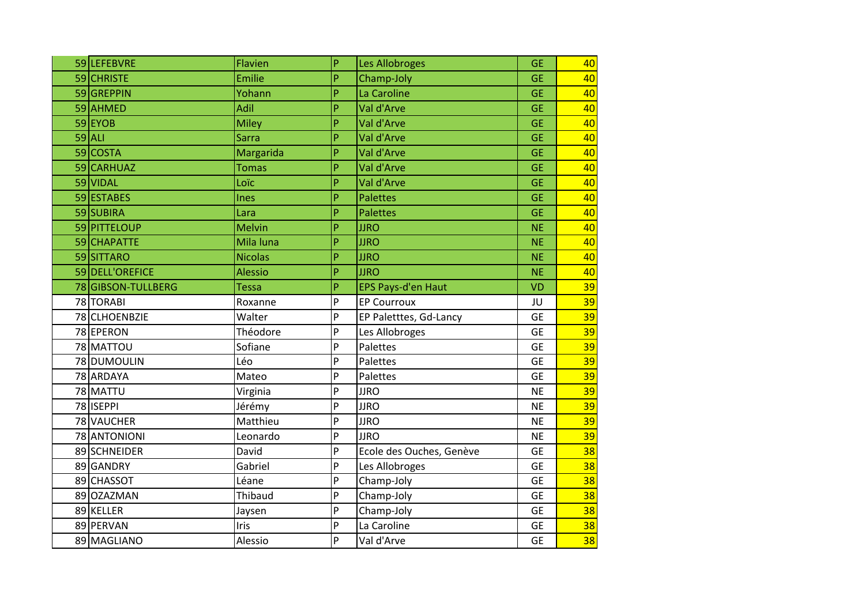| 59 LEFEBVRE        | <b>Flavien</b> | P | Les Allobroges            | <b>GE</b> | 40 |
|--------------------|----------------|---|---------------------------|-----------|----|
| 59 CHRISTE         | Emilie         | P | Champ-Joly                | <b>GE</b> | 40 |
| 59 GREPPIN         | Yohann         | P | La Caroline               | <b>GE</b> | 40 |
| 59 AHMED           | Adil           | P | Val d'Arve                | <b>GE</b> | 40 |
| 59EYOB             | <b>Miley</b>   | P | Val d'Arve                | <b>GE</b> | 40 |
| $59$ ALI           | <b>Sarra</b>   | P | Val d'Arve                | <b>GE</b> | 40 |
| 59 COSTA           | Margarida      | P | Val d'Arve                | <b>GE</b> | 40 |
| 59 CARHUAZ         | <b>Tomas</b>   | P | Val d'Arve                | <b>GE</b> | 40 |
| 59 VIDAL           | Loïc           | P | Val d'Arve                | <b>GE</b> | 40 |
| 59 ESTABES         | <b>Ines</b>    | P | Palettes                  | <b>GE</b> | 40 |
| 59 SUBIRA          | Lara           | P | <b>Palettes</b>           | <b>GE</b> | 40 |
| 59 PITTELOUP       | <b>Melvin</b>  | P | <b>JJRO</b>               | <b>NE</b> | 40 |
| 59 CHAPATTE        | Mila luna      | P | <b>JJRO</b>               | <b>NE</b> | 40 |
| 59 SITTARO         | <b>Nicolas</b> | P | <b>JJRO</b>               | <b>NE</b> | 40 |
| 59 DELL'OREFICE    | <b>Alessio</b> | P | <b>JJRO</b>               | <b>NE</b> | 40 |
| 78 GIBSON-TULLBERG | <b>Tessa</b>   | P | <b>EPS Pays-d'en Haut</b> | <b>VD</b> | 39 |
| 78 TORABI          | Roxanne        | P | <b>EP Courroux</b>        | JU        | 39 |
| 78 CLHOENBZIE      | Walter         | P | EP Paletttes, Gd-Lancy    | <b>GE</b> | 39 |
| 78 EPERON          | Théodore       | P | Les Allobroges            | <b>GE</b> | 39 |
| 78 MATTOU          | Sofiane        | P | Palettes                  | <b>GE</b> | 39 |
| 78 DUMOULIN        | Léo            | P | Palettes                  | <b>GE</b> | 39 |
| 78 ARDAYA          | Mateo          | P | Palettes                  | <b>GE</b> | 39 |
| 78 MATTU           | Virginia       | P | <b>JJRO</b>               | <b>NE</b> | 39 |
| 78 ISEPPI          | Jérémy         | P | <b>JJRO</b>               | <b>NE</b> | 39 |
| 78 VAUCHER         | Matthieu       | P | <b>JJRO</b>               | <b>NE</b> | 39 |
| 78 ANTONIONI       | Leonardo       | P | <b>JJRO</b>               | <b>NE</b> | 39 |
| 89 SCHNEIDER       | David          | P | Ecole des Ouches, Genève  | <b>GE</b> | 38 |
| 89 GANDRY          | Gabriel        | P | Les Allobroges            | <b>GE</b> | 38 |
| 89 CHASSOT         | Léane          | P | Champ-Joly                | <b>GE</b> | 38 |
| 89 OZAZMAN         | Thibaud        | P | Champ-Joly                | <b>GE</b> | 38 |
| 89 KELLER          | Jaysen         | P | Champ-Joly                | <b>GE</b> | 38 |
|                    |                |   |                           |           |    |
| 89 PERVAN          | Iris           | P | La Caroline               | <b>GE</b> | 38 |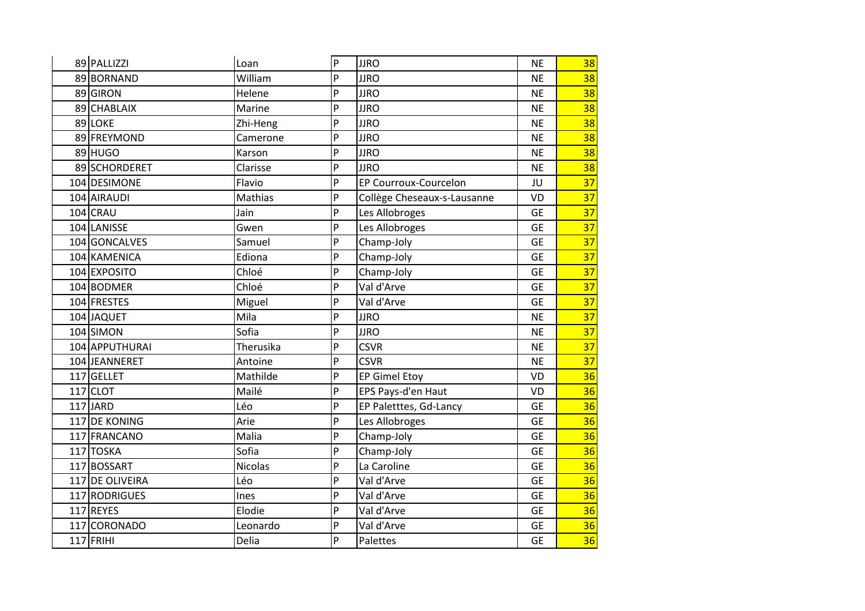| 89 PALLIZZI     | Loan           | P | <b>JJRO</b>                 | <b>NE</b> | 38 |
|-----------------|----------------|---|-----------------------------|-----------|----|
| 89 BORNAND      | William        | P | <b>JJRO</b>                 | <b>NE</b> | 38 |
| 89 GIRON        | Helene         | P | <b>JJRO</b>                 | <b>NE</b> | 38 |
| 89 CHABLAIX     | Marine         | P | <b>JJRO</b>                 | <b>NE</b> | 38 |
| 89 LOKE         | Zhi-Heng       | P | <b>JJRO</b>                 | <b>NE</b> | 38 |
| 89 FREYMOND     | Camerone       | P | <b>JJRO</b>                 | <b>NE</b> | 38 |
| 89 HUGO         | Karson         | P | <b>JJRO</b>                 | <b>NE</b> | 38 |
| 89 SCHORDERET   | Clarisse       | P | <b>JJRO</b>                 | <b>NE</b> | 38 |
| 104 DESIMONE    | Flavio         | P | EP Courroux-Courcelon       | JU        | 37 |
| 104 AIRAUDI     | Mathias        | P | Collège Cheseaux-s-Lausanne | VD        | 37 |
| 104 CRAU        | Jain           | P | Les Allobroges              | <b>GE</b> | 37 |
| 104 LANISSE     | Gwen           | P | Les Allobroges              | <b>GE</b> | 37 |
| 104 GONCALVES   | Samuel         | P | Champ-Joly                  | <b>GE</b> | 37 |
| 104 KAMENICA    | Ediona         | P | Champ-Joly                  | <b>GE</b> | 37 |
| 104 EXPOSITO    | Chloé          | P | Champ-Joly                  | <b>GE</b> | 37 |
| 104 BODMER      | Chloé          | P | Val d'Arve                  | <b>GE</b> | 37 |
| 104 FRESTES     | Miguel         | P | Val d'Arve                  | <b>GE</b> | 37 |
| 104 JAQUET      | Mila           | P | <b>JJRO</b>                 | <b>NE</b> | 37 |
| 104 SIMON       | Sofia          | P | <b>JJRO</b>                 | <b>NE</b> | 37 |
| 104 APPUTHURAI  | Therusika      | P | <b>CSVR</b>                 | <b>NE</b> | 37 |
| 104 JEANNERET   | Antoine        | P | <b>CSVR</b>                 | <b>NE</b> | 37 |
| 117 GELLET      | Mathilde       | P | <b>EP Gimel Etoy</b>        | <b>VD</b> | 36 |
| $117$ CLOT      | Mailé          | P | EPS Pays-d'en Haut          | VD        | 36 |
| $117$ JARD      | Léo            | P | EP Paletttes, Gd-Lancy      | <b>GE</b> | 36 |
| 117 DE KONING   | Arie           | P | Les Allobroges              | <b>GE</b> | 36 |
| 117 FRANCANO    | Malia          | P | Champ-Joly                  | <b>GE</b> | 36 |
| 117 TOSKA       | Sofia          | P | Champ-Joly                  | <b>GE</b> | 36 |
| 117 BOSSART     | <b>Nicolas</b> | P | La Caroline                 | <b>GE</b> | 36 |
| 117 DE OLIVEIRA | Léo            | P | Val d'Arve                  | <b>GE</b> | 36 |
| 117 RODRIGUES   | Ines           | P | Val d'Arve                  | <b>GE</b> | 36 |
| 117 REYES       | Elodie         | P | Val d'Arve                  | <b>GE</b> | 36 |
| 117 CORONADO    | Leonardo       | P | Val d'Arve                  | <b>GE</b> | 36 |
| $117$ FRIHI     | Delia          | P | Palettes                    | <b>GE</b> | 36 |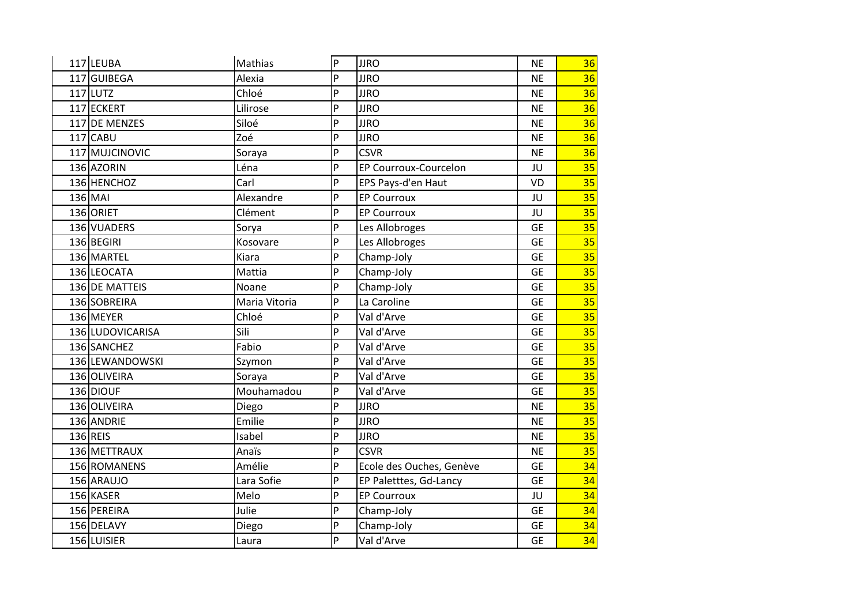| 117 LEUBA        | Mathias       | P              | <b>JJRO</b>              | <b>NE</b> | 36 |
|------------------|---------------|----------------|--------------------------|-----------|----|
| 117 GUIBEGA      | Alexia        | P              | <b>JJRO</b>              | <b>NE</b> | 36 |
| $117$ LUTZ       | Chloé         | P              | <b>JJRO</b>              | <b>NE</b> | 36 |
| 117 ECKERT       | Lilirose      | P              | <b>JJRO</b>              | <b>NE</b> | 36 |
| 117 DE MENZES    | Siloé         | P              | <b>JJRO</b>              | <b>NE</b> | 36 |
| $117$ CABU       | Zoé           | P              | <b>JJRO</b>              | <b>NE</b> | 36 |
| 117 MUJCINOVIC   | Soraya        | P              | <b>CSVR</b>              | <b>NE</b> | 36 |
| 136 AZORIN       | Léna          | P              | EP Courroux-Courcelon    | JU        | 35 |
| 136 HENCHOZ      | Carl          | P              | EPS Pays-d'en Haut       | VD        | 35 |
| 136 MAI          | Alexandre     | P              | <b>EP Courroux</b>       | JU        | 35 |
| 136 ORIET        | Clément       | P              | <b>EP Courroux</b>       | JU        | 35 |
| 136 VUADERS      | Sorya         | P              | Les Allobroges           | <b>GE</b> | 35 |
| 136 BEGIRI       | Kosovare      | P              | Les Allobroges           | <b>GE</b> | 35 |
| 136 MARTEL       | Kiara         | P              | Champ-Joly               | <b>GE</b> | 35 |
| 136 LEOCATA      | Mattia        | P              | Champ-Joly               | <b>GE</b> | 35 |
| 136 DE MATTEIS   | Noane         | $\overline{P}$ | Champ-Joly               | <b>GE</b> | 35 |
| 136 SOBREIRA     | Maria Vitoria | P              | La Caroline              | <b>GE</b> | 35 |
| 136 MEYER        | Chloé         | P              | Val d'Arve               | <b>GE</b> | 35 |
| 136 LUDOVICARISA | Sili          | P              | Val d'Arve               | <b>GE</b> | 35 |
| 136 SANCHEZ      | Fabio         | P              | Val d'Arve               | <b>GE</b> | 35 |
| 136 LEWANDOWSKI  | Szymon        | P              | Val d'Arve               | <b>GE</b> | 35 |
| 136 OLIVEIRA     | Soraya        | .p             | Val d'Arve               | <b>GE</b> | 35 |
| 136 DIOUF        | Mouhamadou    | P              | Val d'Arve               | <b>GE</b> | 35 |
| 136 OLIVEIRA     | Diego         | P              | <b>JJRO</b>              | <b>NE</b> | 35 |
| 136 ANDRIE       | Emilie        | P              | <b>JJRO</b>              | <b>NE</b> | 35 |
| 136 REIS         | Isabel        | P              | <b>JJRO</b>              | <b>NE</b> | 35 |
| 136 METTRAUX     | Anaïs         | P              | <b>CSVR</b>              | <b>NE</b> | 35 |
| 156 ROMANENS     | Amélie        | P              | Ecole des Ouches, Genève | <b>GE</b> | 34 |
| 156 ARAUJO       | Lara Sofie    | P              | EP Paletttes, Gd-Lancy   | <b>GE</b> | 34 |
| 156 KASER        | Melo          | P              | <b>EP Courroux</b>       | JU        | 34 |
| 156 PEREIRA      | Julie         | P              | Champ-Joly               | <b>GE</b> | 34 |
| 156 DELAVY       | Diego         | P              | Champ-Joly               | <b>GE</b> | 34 |
| 156 LUISIER      | Laura         | P              | Val d'Arve               | <b>GE</b> | 34 |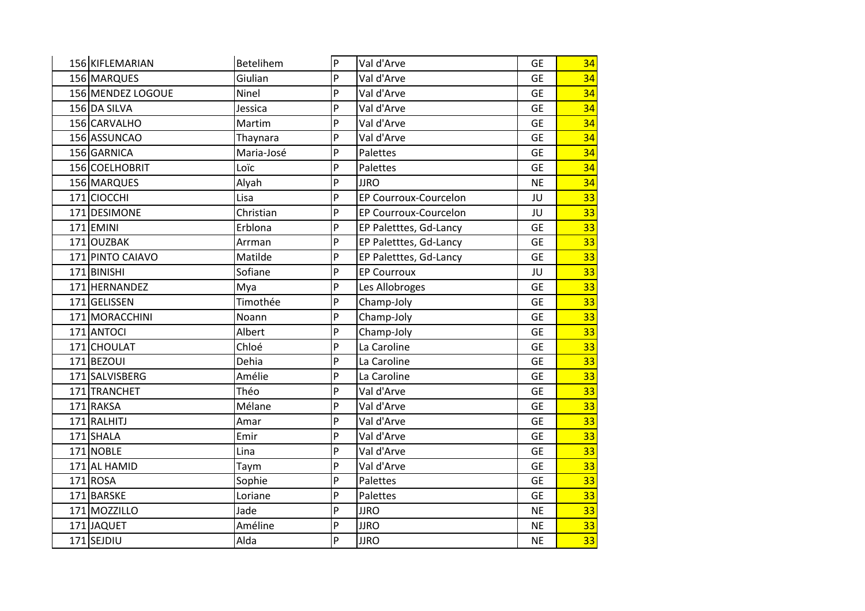| 156 KIFLEMARIAN   | Betelihem  | P | Val d'Arve             | <b>GE</b> | 34 |
|-------------------|------------|---|------------------------|-----------|----|
| 156 MARQUES       | Giulian    | P | Val d'Arve             | <b>GE</b> | 34 |
| 156 MENDEZ LOGOUE | Ninel      | P | Val d'Arve             | <b>GE</b> | 34 |
| 156 DA SILVA      | Jessica    | P | Val d'Arve             | <b>GE</b> | 34 |
| 156 CARVALHO      | Martim     | P | Val d'Arve             | <b>GE</b> | 34 |
| 156 ASSUNCAO      | Thaynara   | P | Val d'Arve             | <b>GE</b> | 34 |
| 156 GARNICA       | Maria-José | P | Palettes               | <b>GE</b> | 34 |
| 156 COELHOBRIT    | Loïc       | P | Palettes               | <b>GE</b> | 34 |
| 156 MARQUES       | Alyah      | P | <b>JJRO</b>            | <b>NE</b> | 34 |
| 171 CIOCCHI       | Lisa       | P | EP Courroux-Courcelon  | JU        | 33 |
| 171 DESIMONE      | Christian  | P | EP Courroux-Courcelon  | JU        | 33 |
| 171EMINI          | Erblona    | P | EP Paletttes, Gd-Lancy | <b>GE</b> | 33 |
| 171 OUZBAK        | Arrman     | P | EP Paletttes, Gd-Lancy | <b>GE</b> | 33 |
| 171 PINTO CAIAVO  | Matilde    | P | EP Paletttes, Gd-Lancy | <b>GE</b> | 33 |
| 171BINISHI        | Sofiane    | P | <b>EP Courroux</b>     | JU        | 33 |
| 171 HERNANDEZ     | Mya        | P | Les Allobroges         | <b>GE</b> | 33 |
| 171 GELISSEN      | Timothée   | P | Champ-Joly             | <b>GE</b> | 33 |
| 171 MORACCHINI    | Noann      | P | Champ-Joly             | <b>GE</b> | 33 |
| 171 ANTOCI        | Albert     | P | Champ-Joly             | <b>GE</b> | 33 |
| 171 CHOULAT       | Chloé      | P | La Caroline            | <b>GE</b> | 33 |
| 171BEZOUI         | Dehia      | P | La Caroline            | <b>GE</b> | 33 |
| 171 SALVISBERG    | Amélie     | P | La Caroline            | <b>GE</b> | 33 |
| 171 TRANCHET      | Théo       | P | Val d'Arve             | <b>GE</b> | 33 |
| 171 RAKSA         | Mélane     | P | Val d'Arve             | <b>GE</b> | 33 |
| 171 RALHITJ       | Amar       | P | Val d'Arve             | <b>GE</b> | 33 |
| 171 SHALA         | Emir       | P | Val d'Arve             | <b>GE</b> | 33 |
| 171 NOBLE         | Lina       | P | Val d'Arve             | <b>GE</b> | 33 |
| 171 AL HAMID      | Taym       | P | Val d'Arve             | <b>GE</b> | 33 |
| 171 ROSA          | Sophie     | P | Palettes               | <b>GE</b> | 33 |
| 171 BARSKE        | Loriane    | P | Palettes               | <b>GE</b> | 33 |
| 171 MOZZILLO      | Jade       | P | <b>JJRO</b>            | <b>NE</b> | 33 |
| 171 JAQUET        | Améline    | P | <b>JJRO</b>            | <b>NE</b> | 33 |
| 171 SEJDIU        | Alda       | P | <b>JJRO</b>            | <b>NE</b> | 33 |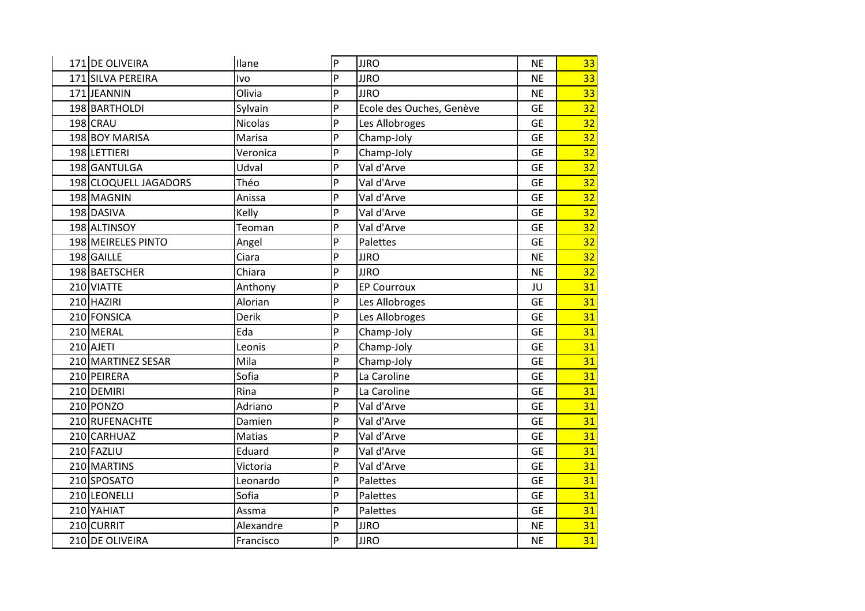| 171 DE OLIVEIRA       | Ilane          | P              | <b>JJRO</b>              | <b>NE</b> | 33 |
|-----------------------|----------------|----------------|--------------------------|-----------|----|
| 171 SILVA PEREIRA     | <b>Ivo</b>     | P              | <b>JJRO</b>              | <b>NE</b> | 33 |
| 171JEANNIN            | Olivia         | P              | <b>JJRO</b>              | <b>NE</b> | 33 |
| 198 BARTHOLDI         | Sylvain        | P              | Ecole des Ouches, Genève | <b>GE</b> | 32 |
| 198 CRAU              | <b>Nicolas</b> | P              | Les Allobroges           | <b>GE</b> | 32 |
| 198 BOY MARISA        | Marisa         | P              | Champ-Joly               | <b>GE</b> | 32 |
| 198 LETTIERI          | Veronica       | P              | Champ-Joly               | <b>GE</b> | 32 |
| 198 GANTULGA          | Udval          | $\overline{P}$ | Val d'Arve               | <b>GE</b> | 32 |
| 198 CLOQUELL JAGADORS | Théo           | $\overline{P}$ | Val d'Arve               | <b>GE</b> | 32 |
| 198 MAGNIN            | Anissa         | P              | Val d'Arve               | <b>GE</b> | 32 |
| 198 DASIVA            | Kelly          | P              | Val d'Arve               | <b>GE</b> | 32 |
| 198 ALTINSOY          | Teoman         | P              | Val d'Arve               | <b>GE</b> | 32 |
| 198 MEIRELES PINTO    | Angel          | P              | Palettes                 | <b>GE</b> | 32 |
| 198 GAILLE            | Ciara          | P              | <b>JJRO</b>              | <b>NE</b> | 32 |
| 198 BAETSCHER         | Chiara         | P              | <b>JJRO</b>              | <b>NE</b> | 32 |
| 210 VIATTE            | Anthony        | $\overline{P}$ | <b>EP Courroux</b>       | JU        | 31 |
| 210 HAZIRI            | Alorian        | P              | Les Allobroges           | <b>GE</b> | 31 |
| 210 FONSICA           | Derik          | P              | Les Allobroges           | <b>GE</b> | 31 |
| 210 MERAL             | Eda            | P              | Champ-Joly               | <b>GE</b> | 31 |
| 210 AJETI             | Leonis         | $\overline{P}$ | Champ-Joly               | <b>GE</b> | 31 |
| 210 MARTINEZ SESAR    | Mila           | P              | Champ-Joly               | <b>GE</b> | 31 |
| 210 PEIRERA           | Sofia          | .p             | La Caroline              | <b>GE</b> | 31 |
| 210 DEMIRI            | Rina           | P              | La Caroline              | <b>GE</b> | 31 |
| 210 PONZO             | Adriano        | P              | Val d'Arve               | <b>GE</b> | 31 |
| 210 RUFENACHTE        | Damien         | P              | Val d'Arve               | <b>GE</b> | 31 |
| 210 CARHUAZ           | Matias         | P              | Val d'Arve               | <b>GE</b> | 31 |
| 210 FAZLIU            | Eduard         | P              | Val d'Arve               | <b>GE</b> | 31 |
| 210 MARTINS           | Victoria       | P              | Val d'Arve               | <b>GE</b> | 31 |
| 210 SPOSATO           | Leonardo       | P              | Palettes                 | <b>GE</b> | 31 |
| 210 LEONELLI          | Sofia          | P              | Palettes                 | <b>GE</b> | 31 |
| 210 YAHIAT            | Assma          | $\overline{P}$ | Palettes                 | <b>GE</b> | 31 |
| 210 CURRIT            | Alexandre      | P              | <b>JJRO</b>              | <b>NE</b> | 31 |
| 210 DE OLIVEIRA       | Francisco      | P              | <b>JJRO</b>              | <b>NE</b> | 31 |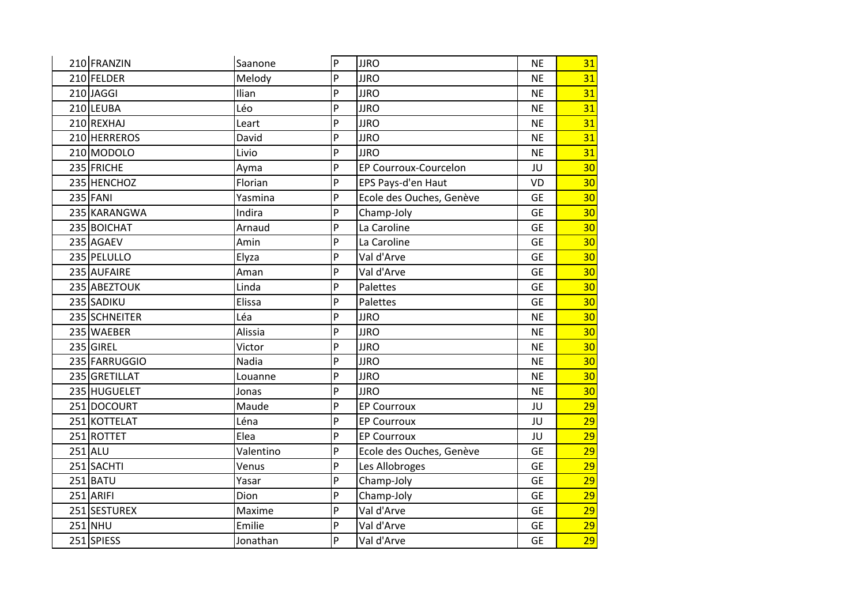| 210 FRANZIN<br>210 FELDER | Saanone   | $\overline{P}$ | <b>JJRO</b>                  | <b>NE</b> | 31              |
|---------------------------|-----------|----------------|------------------------------|-----------|-----------------|
|                           |           |                |                              |           |                 |
|                           | Melody    | P              | <b>JJRO</b>                  | <b>NE</b> | 31              |
| 210JAGGI                  | Ilian     | P              | <b>JJRO</b>                  | <b>NE</b> | 31              |
| 210 LEUBA                 | Léo       | P              | <b>JJRO</b>                  | <b>NE</b> | 31              |
| 210 REXHAJ                | Leart     | P              | <b>JJRO</b>                  | <b>NE</b> | 31              |
| 210 HERREROS              | David     | P              | <b>JJRO</b>                  | <b>NE</b> | 31              |
| 210 MODOLO                | Livio     | P              | <b>JJRO</b>                  | <b>NE</b> | 31              |
| 235 FRICHE                | Ayma      | P              | <b>EP Courroux-Courcelon</b> | JU        | 30              |
| 235 HENCHOZ               | Florian   | P              | EPS Pays-d'en Haut           | VD        | 30 <sub>2</sub> |
| 235 FANI                  | Yasmina   | P              | Ecole des Ouches, Genève     | <b>GE</b> | 30              |
| 235 KARANGWA              | Indira    | P              | Champ-Joly                   | <b>GE</b> | 30 <sub>2</sub> |
| 235 BOICHAT               | Arnaud    | P              | La Caroline                  | <b>GE</b> | 30              |
| 235 AGAEV                 | Amin      | P              | La Caroline                  | <b>GE</b> | 30 <sub>2</sub> |
| 235 PELULLO               | Elyza     | P              | Val d'Arve                   | <b>GE</b> | 30 <sub>2</sub> |
| 235 AUFAIRE               | Aman      | P              | Val d'Arve                   | <b>GE</b> | 30 <sub>2</sub> |
| 235 ABEZTOUK              | Linda     | P              | Palettes                     | <b>GE</b> | 30 <sub>2</sub> |
| 235 SADIKU                | Elissa    | P              | Palettes                     | <b>GE</b> | 30              |
| 235 SCHNEITER             | Léa       | P              | <b>JJRO</b>                  | <b>NE</b> | 30 <sub>2</sub> |
| 235 WAEBER                | Alissia   | P              | <b>JJRO</b>                  | <b>NE</b> | 30 <sub>2</sub> |
| 235 GIREL                 | Victor    | P              | <b>JJRO</b>                  | <b>NE</b> | 30              |
| 235 FARRUGGIO             | Nadia     | P              | <b>JJRO</b>                  | <b>NE</b> | 30 <sub>2</sub> |
| 235 GRETILLAT             | Louanne   | P              | <b>JJRO</b>                  | <b>NE</b> | 30              |
| 235 HUGUELET              | Jonas     | P              | <b>JJRO</b>                  | <b>NE</b> | 30 <sub>2</sub> |
| 251 DOCOURT               | Maude     | P              | <b>EP Courroux</b>           | JU        | 29              |
| 251 KOTTELAT              | Léna      | P              | <b>EP Courroux</b>           | JU        | 29              |
| 251 ROTTET                | Elea      | P              | <b>EP Courroux</b>           | JU        | 29              |
| $251$ ALU                 | Valentino | P              | Ecole des Ouches, Genève     | <b>GE</b> | 29              |
| 251 SACHTI                | Venus     | P              | Les Allobroges               | <b>GE</b> | 29              |
| 251 BATU                  | Yasar     | P              | Champ-Joly                   | <b>GE</b> | 29              |
| $251$ ARIFI               | Dion      | P              | Champ-Joly                   | <b>GE</b> | 29              |
| 251 SESTUREX              | Maxime    | P              | Val d'Arve                   | <b>GE</b> | 29              |
| 251 NHU                   | Emilie    | P              | Val d'Arve                   | <b>GE</b> | 29              |
| 251 SPIESS                | Jonathan  | P              | Val d'Arve                   | <b>GE</b> | 29              |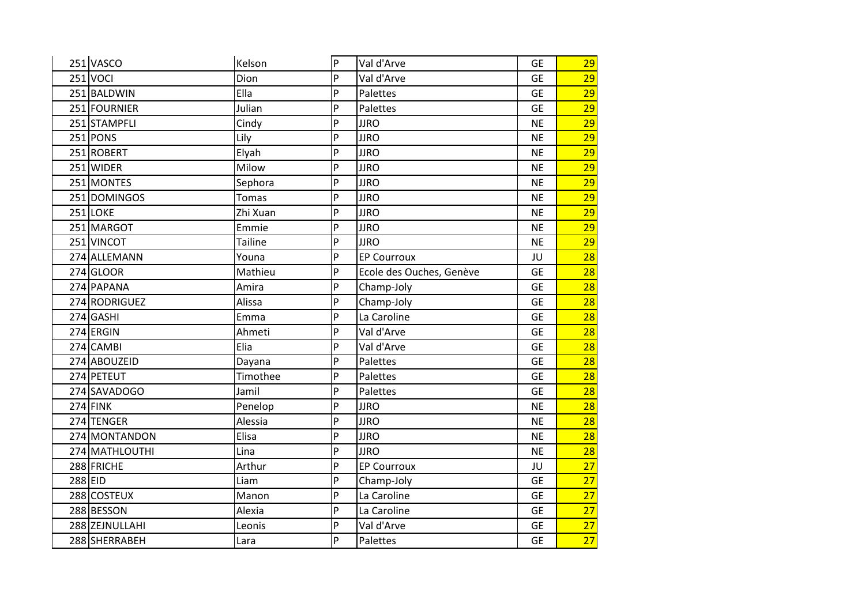| 251 VASCO      | Kelson         | P | Val d'Arve               | <b>GE</b> | 29              |
|----------------|----------------|---|--------------------------|-----------|-----------------|
| $251$ VOCI     | Dion           | P | Val d'Arve               | <b>GE</b> | 29              |
| 251 BALDWIN    | Ella           | P | Palettes                 | <b>GE</b> | 29              |
| 251 FOURNIER   | Julian         | P | Palettes                 | <b>GE</b> | 29              |
| 251 STAMPFLI   | Cindy          | P | <b>JJRO</b>              | <b>NE</b> | $\overline{29}$ |
| 251 PONS       | Lily           | P | <b>JJRO</b>              | <b>NE</b> | $\overline{29}$ |
| 251 ROBERT     | Elyah          | P | <b>JJRO</b>              | <b>NE</b> | 29              |
| 251 WIDER      | Milow          | P | <b>JJRO</b>              | <b>NE</b> | 29              |
| 251 MONTES     | Sephora        | P | <b>JJRO</b>              | <b>NE</b> | 29              |
| 251 DOMINGOS   | Tomas          | P | <b>JJRO</b>              | <b>NE</b> | 29              |
| 251 LOKE       | Zhi Xuan       | P | <b>JJRO</b>              | <b>NE</b> | 29              |
| 251 MARGOT     | Emmie          | P | <b>JJRO</b>              | <b>NE</b> | 29              |
| 251 VINCOT     | <b>Tailine</b> | P | <b>JJRO</b>              | <b>NE</b> | $\overline{29}$ |
| 274 ALLEMANN   | Youna          | P | <b>EP Courroux</b>       | JU        | 28              |
| 274 GLOOR      | Mathieu        | P | Ecole des Ouches, Genève | <b>GE</b> | 28              |
| 274 PAPANA     | Amira          | P | Champ-Joly               | <b>GE</b> | 28              |
| 274 RODRIGUEZ  | Alissa         | P | Champ-Joly               | <b>GE</b> | 28              |
| 274 GASHI      | Emma           | P | La Caroline              | <b>GE</b> | 28              |
| 274 ERGIN      | Ahmeti         | P | Val d'Arve               | <b>GE</b> | 28              |
| 274 CAMBI      | Elia           | P | Val d'Arve               | <b>GE</b> | 28              |
| 274 ABOUZEID   | Dayana         | P | Palettes                 | <b>GE</b> | 28              |
| 274 PETEUT     | Timothee       | P | Palettes                 | <b>GE</b> | 28              |
| 274 SAVADOGO   | Jamil          | P | Palettes                 | <b>GE</b> | 28              |
| $274$ FINK     | Penelop        | P | <b>JJRO</b>              | <b>NE</b> | 28              |
| 274 TENGER     | Alessia        | P | <b>JJRO</b>              | <b>NE</b> | 28              |
| 274 MONTANDON  | Elisa          | P | <b>JJRO</b>              | <b>NE</b> | 28              |
| 274 MATHLOUTHI | Lina           | P | <b>JJRO</b>              | <b>NE</b> | 28              |
| 288 FRICHE     | Arthur         | P | <b>EP Courroux</b>       | JU        | 27              |
| 288 EID        | Liam           | P | Champ-Joly               | <b>GE</b> | $\overline{27}$ |
| 288 COSTEUX    | Manon          | P | La Caroline              | <b>GE</b> | 27              |
| 288 BESSON     | Alexia         | P | La Caroline              | <b>GE</b> | 27              |
| 288 ZEJNULLAHI | Leonis         | P | Val d'Arve               | <b>GE</b> | 27              |
| 288 SHERRABEH  | Lara           | P | Palettes                 | <b>GE</b> | 27              |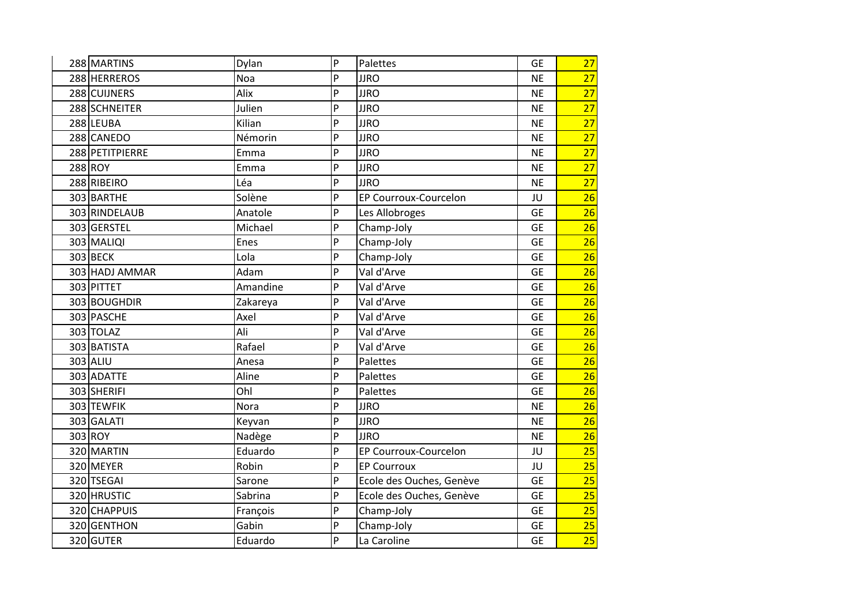| 288 MARTINS     | Dylan    | P              | Palettes                 | <b>GE</b> | 27 |
|-----------------|----------|----------------|--------------------------|-----------|----|
| 288 HERREROS    | Noa      | P              | <b>JJRO</b>              | <b>NE</b> | 27 |
| 288 CUIJNERS    | Alix     | P              | <b>JJRO</b>              | <b>NE</b> | 27 |
| 288 SCHNEITER   | Julien   | P              | <b>JJRO</b>              | <b>NE</b> | 27 |
| 288 LEUBA       | Kilian   | P              | <b>JJRO</b>              | <b>NE</b> | 27 |
| 288 CANEDO      | Némorin  | P              | <b>JJRO</b>              | <b>NE</b> | 27 |
| 288 PETITPIERRE | Emma     | P              | <b>JJRO</b>              | <b>NE</b> | 27 |
| 288 ROY         | Emma     | P              | <b>JJRO</b>              | <b>NE</b> | 27 |
| 288 RIBEIRO     | Léa      | P              | <b>JJRO</b>              | <b>NE</b> | 27 |
| 303 BARTHE      | Solène   | P              | EP Courroux-Courcelon    | JU        | 26 |
| 303 RINDELAUB   | Anatole  | P              | Les Allobroges           | <b>GE</b> | 26 |
| 303 GERSTEL     | Michael  | P              | Champ-Joly               | <b>GE</b> | 26 |
| 303 MALIQI      | Enes     | P              | Champ-Joly               | <b>GE</b> | 26 |
| 303 BECK        | Lola     | P              | Champ-Joly               | <b>GE</b> | 26 |
| 303 HADJ AMMAR  | Adam     | P              | Val d'Arve               | <b>GE</b> | 26 |
| 303 PITTET      | Amandine | P              | Val d'Arve               | <b>GE</b> | 26 |
| 303 BOUGHDIR    | Zakareya | P              | Val d'Arve               | <b>GE</b> | 26 |
| 303 PASCHE      | Axel     | P              | Val d'Arve               | <b>GE</b> | 26 |
| 303 TOLAZ       | Ali      | P              | Val d'Arve               | <b>GE</b> | 26 |
| 303 BATISTA     | Rafael   | P              | Val d'Arve               | <b>GE</b> | 26 |
| 303 ALIU        | Anesa    | P              | Palettes                 | <b>GE</b> | 26 |
| 303 ADATTE      | Aline    | P              | Palettes                 | <b>GE</b> | 26 |
| 303 SHERIFI     | Ohl      | P              | Palettes                 | <b>GE</b> | 26 |
| 303 TEWFIK      | Nora     | P              | <b>JJRO</b>              | <b>NE</b> | 26 |
| 303 GALATI      | Keyvan   | P              | <b>JJRO</b>              | <b>NE</b> | 26 |
| 303 ROY         | Nadège   | P              | <b>JJRO</b>              | <b>NE</b> | 26 |
| 320 MARTIN      | Eduardo  | P              | EP Courroux-Courcelon    | JU        | 25 |
| 320 MEYER       | Robin    | P              | <b>EP Courroux</b>       | JU        | 25 |
| 320 TSEGAI      | Sarone   | P              | Ecole des Ouches, Genève | <b>GE</b> | 25 |
| 320 HRUSTIC     | Sabrina  | P              | Ecole des Ouches, Genève | <b>GE</b> | 25 |
| 320 CHAPPUIS    | François | $\overline{P}$ | Champ-Joly               | <b>GE</b> | 25 |
| 320 GENTHON     | Gabin    | P              | Champ-Joly               | <b>GE</b> | 25 |
| 320 GUTER       | Eduardo  | P              | La Caroline              | <b>GE</b> | 25 |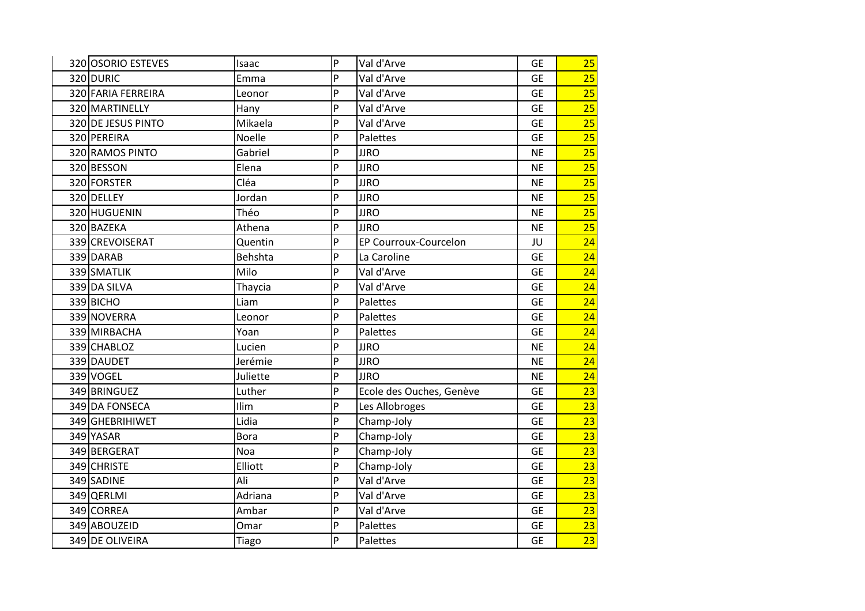| 320 OSORIO ESTEVES | Isaac       | P | Val d'Arve                   | <b>GE</b> | 25              |
|--------------------|-------------|---|------------------------------|-----------|-----------------|
| 320 DURIC          | Emma        | P | Val d'Arve                   | <b>GE</b> | 25              |
| 320 FARIA FERREIRA | Leonor      | P | Val d'Arve                   | <b>GE</b> | 25              |
| 320 MARTINELLY     | Hany        | P | Val d'Arve                   | <b>GE</b> | 25              |
| 320 DE JESUS PINTO | Mikaela     | P | Val d'Arve                   | <b>GE</b> | 25              |
| 320 PEREIRA        | Noelle      | P | Palettes                     | <b>GE</b> | $\overline{25}$ |
| 320 RAMOS PINTO    | Gabriel     | P | <b>JJRO</b>                  | <b>NE</b> | 25              |
| 320 BESSON         | Elena       | P | <b>JJRO</b>                  | <b>NE</b> | 25              |
| 320 FORSTER        | Cléa        | P | <b>JJRO</b>                  | <b>NE</b> | $\overline{25}$ |
| 320 DELLEY         | Jordan      | P | <b>JJRO</b>                  | <b>NE</b> | 25              |
| 320 HUGUENIN       | Théo        | P | <b>JJRO</b>                  | <b>NE</b> | 25              |
| 320 BAZEKA         | Athena      | P | <b>JJRO</b>                  | <b>NE</b> | 25              |
| 339 CREVOISERAT    | Quentin     | P | <b>EP Courroux-Courcelon</b> | JU        | $\overline{24}$ |
| 339 DARAB          | Behshta     | P | La Caroline                  | <b>GE</b> | 24              |
| 339 SMATLIK        | Milo        | P | Val d'Arve                   | <b>GE</b> | 24              |
| 339 DA SILVA       | Thaycia     | P | Val d'Arve                   | <b>GE</b> | 24              |
| 339 BICHO          | Liam        | P | Palettes                     | <b>GE</b> | 24              |
| 339 NOVERRA        | Leonor      | P | Palettes                     | <b>GE</b> | 24              |
| 339 MIRBACHA       | Yoan        | P | Palettes                     | <b>GE</b> | 24              |
| 339 CHABLOZ        | Lucien      | P | <b>JJRO</b>                  | <b>NE</b> | 24              |
| 339 DAUDET         | Jerémie     | P | <b>JJRO</b>                  | <b>NE</b> | 24              |
| 339 VOGEL          | Juliette    | P | <b>JJRO</b>                  | <b>NE</b> | 24              |
| 349 BRINGUEZ       | Luther      | P | Ecole des Ouches, Genève     | <b>GE</b> | 23              |
| 349 DA FONSECA     | Ilim        | P | Les Allobroges               | <b>GE</b> | 23              |
| 349 GHEBRIHIWET    | Lidia       | P | Champ-Joly                   | <b>GE</b> | $\overline{23}$ |
| 349 YASAR          | <b>Bora</b> | P | Champ-Joly                   | <b>GE</b> | 23              |
| 349 BERGERAT       | Noa         | P | Champ-Joly                   | <b>GE</b> | 23              |
| 349 CHRISTE        | Elliott     | P | Champ-Joly                   | <b>GE</b> | 23              |
| 349 SADINE         | Ali         | P | Val d'Arve                   | <b>GE</b> | $\overline{23}$ |
| 349 QERLMI         | Adriana     | P | Val d'Arve                   | <b>GE</b> | 23              |
| 349 CORREA         | Ambar       | P | Val d'Arve                   | <b>GE</b> | 23              |
| 349 ABOUZEID       | Omar        | P | Palettes                     | <b>GE</b> | $\overline{23}$ |
| 349 DE OLIVEIRA    | Tiago       | P | Palettes                     | <b>GE</b> | 23              |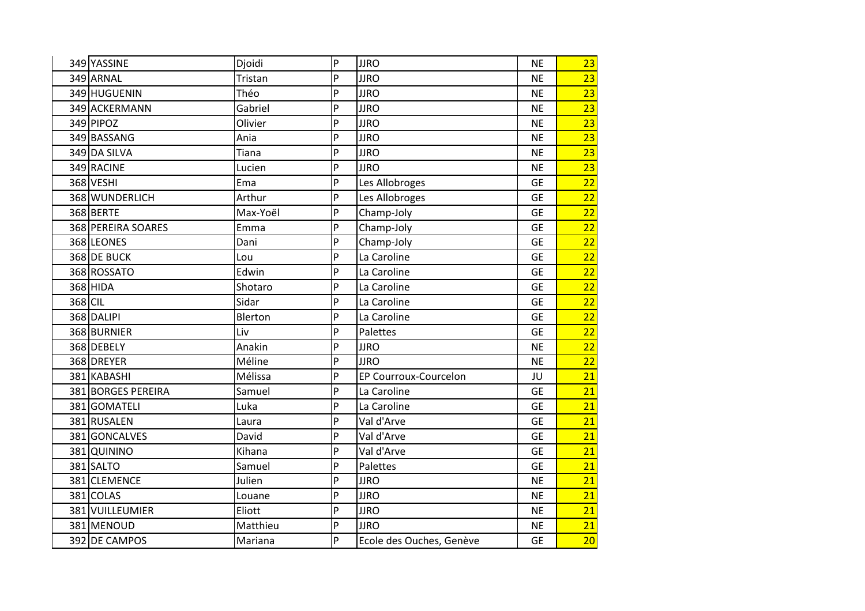|         | 349 YASSINE        | Djoidi   | P        | <b>JJRO</b>              | <b>NE</b> | 23 |
|---------|--------------------|----------|----------|--------------------------|-----------|----|
|         | 349 ARNAL          | Tristan  | <b>P</b> | <b>JJRO</b>              | <b>NE</b> | 23 |
|         | 349 HUGUENIN       | Théo     | P        | <b>JJRO</b>              | <b>NE</b> | 23 |
|         | 349 ACKERMANN      | Gabriel  | P        | <b>JJRO</b>              | <b>NE</b> | 23 |
|         | 349 PIPOZ          | Olivier  | P        | <b>JJRO</b>              | <b>NE</b> | 23 |
|         | 349 BASSANG        | Ania     | P        | <b>JJRO</b>              | <b>NE</b> | 23 |
|         | 349 DA SILVA       | Tiana    | P        | <b>JJRO</b>              | <b>NE</b> | 23 |
|         | 349 RACINE         | Lucien   | P        | <b>JJRO</b>              | <b>NE</b> | 23 |
|         | 368 VESHI          | Ema      | P        | Les Allobroges           | <b>GE</b> | 22 |
|         | 368 WUNDERLICH     | Arthur   | P        | Les Allobroges           | <b>GE</b> | 22 |
|         | 368 BERTE          | Max-Yoël | P        | Champ-Joly               | <b>GE</b> | 22 |
|         | 368 PEREIRA SOARES | Emma     | P        | Champ-Joly               | <b>GE</b> | 22 |
|         | 368 LEONES         | Dani     | P        | Champ-Joly               | <b>GE</b> | 22 |
|         | 368 DE BUCK        | Lou      | P        | La Caroline              | <b>GE</b> | 22 |
|         | 368 ROSSATO        | Edwin    | P        | La Caroline              | <b>GE</b> | 22 |
|         | 368 HIDA           | Shotaro  | P        | La Caroline              | <b>GE</b> | 22 |
| 368 CIL |                    | Sidar    | P        | La Caroline              | <b>GE</b> | 22 |
|         | 368 DALIPI         | Blerton  | P        | La Caroline              | <b>GE</b> | 22 |
|         | 368 BURNIER        | Liv      | P        | Palettes                 | <b>GE</b> | 22 |
|         | 368 DEBELY         | Anakin   | P        | <b>JJRO</b>              | <b>NE</b> | 22 |
|         | 368 DREYER         | Méline   | P        | <b>JJRO</b>              | <b>NE</b> | 22 |
|         | 381 KABASHI        | Mélissa  | P        | EP Courroux-Courcelon    | JU        | 21 |
|         | 381 BORGES PEREIRA | Samuel   | P        | La Caroline              | <b>GE</b> | 21 |
|         | 381 GOMATELI       | Luka     | P        | La Caroline              | <b>GE</b> | 21 |
|         | 381 RUSALEN        | Laura    | P.       | Val d'Arve               | <b>GE</b> | 21 |
|         | 381 GONCALVES      | David    | P        | Val d'Arve               | <b>GE</b> | 21 |
|         | 381 QUININO        | Kihana   | P        | Val d'Arve               | <b>GE</b> | 21 |
|         | 381 SALTO          | Samuel   | P        | Palettes                 | <b>GE</b> | 21 |
|         | 381 CLEMENCE       | Julien   | P        | <b>JJRO</b>              | <b>NE</b> | 21 |
|         | 381 COLAS          | Louane   | P        | <b>JJRO</b>              | <b>NE</b> | 21 |
|         | 381 VUILLEUMIER    | Eliott   | P        | <b>JJRO</b>              | <b>NE</b> | 21 |
|         | 381 MENOUD         | Matthieu | P        | <b>JJRO</b>              | <b>NE</b> | 21 |
|         | 392 DE CAMPOS      | Mariana  | P        | Ecole des Ouches, Genève | <b>GE</b> | 20 |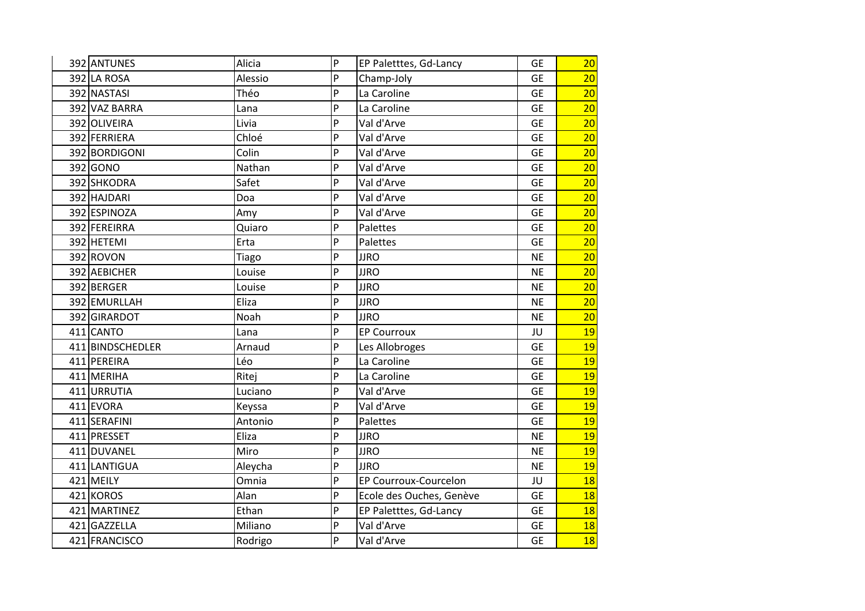| 392 ANTUNES      | Alicia  | P | EP Paletttes, Gd-Lancy   | <b>GE</b> | 20 |
|------------------|---------|---|--------------------------|-----------|----|
| 392 LA ROSA      | Alessio | P | Champ-Joly               | <b>GE</b> | 20 |
| 392 NASTASI      | Théo    | P | La Caroline              | <b>GE</b> | 20 |
| 392 VAZ BARRA    | Lana    | P | La Caroline              | <b>GE</b> | 20 |
| 392 OLIVEIRA     | Livia   | P | Val d'Arve               | <b>GE</b> | 20 |
| 392 FERRIERA     | Chloé   | P | Val d'Arve               | <b>GE</b> | 20 |
| 392 BORDIGONI    | Colin   | P | Val d'Arve               | <b>GE</b> | 20 |
| 392 GONO         | Nathan  | P | Val d'Arve               | <b>GE</b> | 20 |
| 392 SHKODRA      | Safet   | P | Val d'Arve               | <b>GE</b> | 20 |
| 392 HAJDARI      | Doa     | P | Val d'Arve               | <b>GE</b> | 20 |
| 392 ESPINOZA     | Amy     | P | Val d'Arve               | <b>GE</b> | 20 |
| 392 FEREIRRA     | Quiaro  | P | Palettes                 | <b>GE</b> | 20 |
| 392 HETEMI       | Erta    | P | Palettes                 | <b>GE</b> | 20 |
| 392 ROVON        | Tiago   | P | <b>JJRO</b>              | <b>NE</b> | 20 |
| 392 AEBICHER     | Louise  | P | <b>JJRO</b>              | <b>NE</b> | 20 |
| 392 BERGER       | Louise  | P | <b>JJRO</b>              | <b>NE</b> | 20 |
| 392 EMURLLAH     | Eliza   | P | <b>JJRO</b>              | <b>NE</b> | 20 |
| 392 GIRARDOT     | Noah    | P | <b>JJRO</b>              | <b>NE</b> | 20 |
| 411 CANTO        | Lana    | P | <b>EP Courroux</b>       | JU        | 19 |
| 411 BINDSCHEDLER | Arnaud  | P | Les Allobroges           | <b>GE</b> | 19 |
| 411 PEREIRA      | Léo     | P | La Caroline              | <b>GE</b> | 19 |
| 411 MERIHA       | Ritej   | P | La Caroline              | <b>GE</b> | 19 |
| 411 URRUTIA      | Luciano | P | Val d'Arve               | <b>GE</b> | 19 |
| 411 EVORA        | Keyssa  | P | Val d'Arve               | <b>GE</b> | 19 |
| 411 SERAFINI     | Antonio | P | Palettes                 | <b>GE</b> | 19 |
| 411 PRESSET      | Eliza   | P | <b>JJRO</b>              | <b>NE</b> | 19 |
| 411 DUVANEL      | Miro    | P | <b>JJRO</b>              | <b>NE</b> | 19 |
| 411 LANTIGUA     | Aleycha | P | <b>JJRO</b>              | <b>NE</b> | 19 |
| $421$ MEILY      | Omnia   | P | EP Courroux-Courcelon    | JU        | 18 |
| 421 KOROS        | Alan    | P | Ecole des Ouches, Genève | <b>GE</b> | 18 |
| 421 MARTINEZ     | Ethan   | P | EP Paletttes, Gd-Lancy   | <b>GE</b> | 18 |
| 421 GAZZELLA     | Miliano | P | Val d'Arve               | <b>GE</b> | 18 |
| 421 FRANCISCO    | Rodrigo | P | Val d'Arve               | <b>GE</b> | 18 |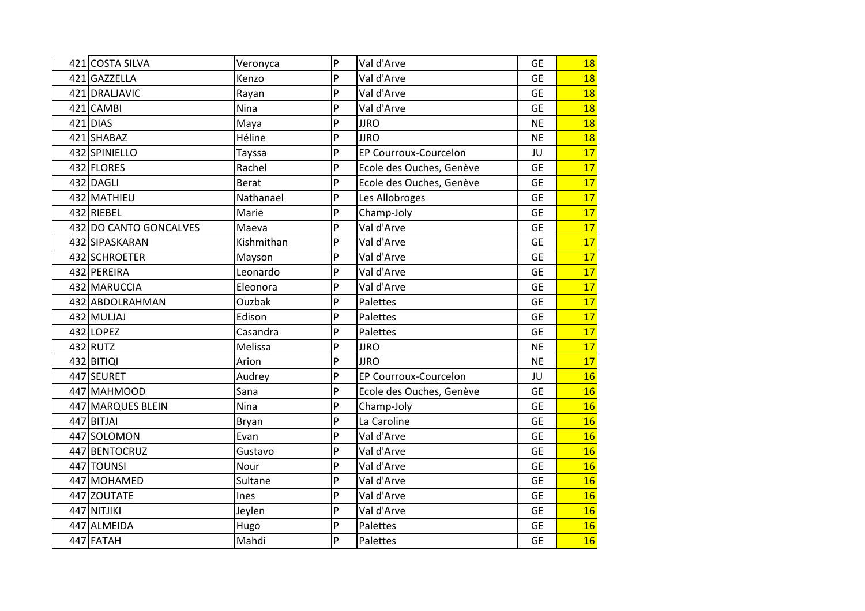| 421 COSTA SILVA        | Veronyca     | $\overline{P}$ | Val d'Arve               | <b>GE</b> | 18 |
|------------------------|--------------|----------------|--------------------------|-----------|----|
| 421 GAZZELLA           | Kenzo        | P              | Val d'Arve               | <b>GE</b> | 18 |
| 421 DRALJAVIC          | Rayan        | P              | Val d'Arve               | <b>GE</b> | 18 |
| 421 CAMBI              | Nina         | P              | Val d'Arve               | <b>GE</b> | 18 |
| 421 DIAS               | Maya         | P              | <b>JJRO</b>              | <b>NE</b> | 18 |
| 421 SHABAZ             | Héline       | P              | <b>JJRO</b>              | <b>NE</b> | 18 |
| 432 SPINIELLO          | Tayssa       | P              | EP Courroux-Courcelon    | JU        | 17 |
| 432 FLORES             | Rachel       | P              | Ecole des Ouches, Genève | <b>GE</b> | 17 |
| 432 DAGLI              | <b>Berat</b> | P              | Ecole des Ouches, Genève | <b>GE</b> | 17 |
| 432 MATHIEU            | Nathanael    | P              | Les Allobroges           | <b>GE</b> | 17 |
| 432 RIEBEL             | Marie        | P              | Champ-Joly               | <b>GE</b> | 17 |
| 432 DO CANTO GONCALVES | Maeva        | P              | Val d'Arve               | <b>GE</b> | 17 |
| 432 SIPASKARAN         | Kishmithan   | P              | Val d'Arve               | <b>GE</b> | 17 |
| 432 SCHROETER          | Mayson       | P              | Val d'Arve               | <b>GE</b> | 17 |
| 432 PEREIRA            | Leonardo     | P              | Val d'Arve               | <b>GE</b> | 17 |
| 432 MARUCCIA           | Eleonora     | P              | Val d'Arve               | <b>GE</b> | 17 |
| 432 ABDOLRAHMAN        | Ouzbak       | P              | Palettes                 | <b>GE</b> | 17 |
| $432$ MULJAJ           | Edison       | P              | Palettes                 | <b>GE</b> | 17 |
| 432 LOPEZ              | Casandra     | P              | Palettes                 | <b>GE</b> | 17 |
| 432 RUTZ               | Melissa      | P              | <b>JJRO</b>              | <b>NE</b> | 17 |
| 432 BITIQI             | Arion        | P              | <b>JJRO</b>              | <b>NE</b> | 17 |
| 447 SEURET             | Audrey       | P              | EP Courroux-Courcelon    | JU        | 16 |
| 447 MAHMOOD            | Sana         | P              | Ecole des Ouches, Genève | <b>GE</b> | 16 |
| 447 MARQUES BLEIN      | Nina         | P              | Champ-Joly               | <b>GE</b> | 16 |
| 447 BITJAI             | Bryan        | P              | La Caroline              | <b>GE</b> | 16 |
| 447 SOLOMON            | Evan         | P              | Val d'Arve               | <b>GE</b> | 16 |
| 447 BENTOCRUZ          | Gustavo      | P              | Val d'Arve               | <b>GE</b> | 16 |
| 447 TOUNSI             | Nour         | P              | Val d'Arve               | <b>GE</b> | 16 |
| 447 MOHAMED            | Sultane      | P              | Val d'Arve               | <b>GE</b> | 16 |
| 447 ZOUTATE            | Ines         | P              | Val d'Arve               | <b>GE</b> | 16 |
| 447 NITJIKI            | Jeylen       | P              | Val d'Arve               | <b>GE</b> | 16 |
| 447 ALMEIDA            | Hugo         | P              | Palettes                 | <b>GE</b> | 16 |
| 447 FATAH              | Mahdi        | P              | Palettes                 | <b>GE</b> | 16 |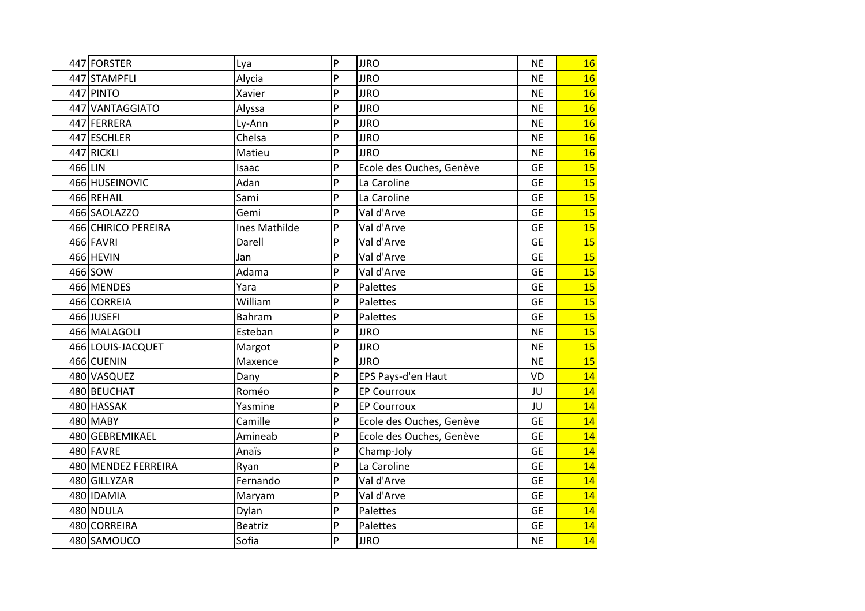|        | 447 FORSTER         | Lya                  | $\overline{P}$ | <b>JJRO</b>              | <b>NE</b> | 16 |
|--------|---------------------|----------------------|----------------|--------------------------|-----------|----|
|        | 447 STAMPFLI        | Alycia               | P              | <b>JJRO</b>              | <b>NE</b> | 16 |
|        | 447 PINTO           | Xavier               | P              | <b>JJRO</b>              | <b>NE</b> | 16 |
|        | 447 VANTAGGIATO     | Alyssa               | P              | <b>JJRO</b>              | <b>NE</b> | 16 |
|        | 447 FERRERA         | Ly-Ann               | P              | <b>JJRO</b>              | <b>NE</b> | 16 |
|        | 447 ESCHLER         | Chelsa               | P              | <b>JJRO</b>              | <b>NE</b> | 16 |
|        | 447 RICKLI          | Matieu               | P              | <b>JJRO</b>              | <b>NE</b> | 16 |
| 466LIN |                     | Isaac                | P              | Ecole des Ouches, Genève | <b>GE</b> | 15 |
|        | 466 HUSEINOVIC      | Adan                 | P              | La Caroline              | <b>GE</b> | 15 |
|        | 466 REHAIL          | Sami                 | P              | La Caroline              | <b>GE</b> | 15 |
|        | 466 SAOLAZZO        | Gemi                 | P              | Val d'Arve               | <b>GE</b> | 15 |
|        | 466 CHIRICO PEREIRA | <b>Ines Mathilde</b> | P              | Val d'Arve               | <b>GE</b> | 15 |
|        | 466 FAVRI           | Darell               | P              | Val d'Arve               | <b>GE</b> | 15 |
|        | 466 HEVIN           | Jan                  | P              | Val d'Arve               | <b>GE</b> | 15 |
|        | 466 SOW             | Adama                | P              | Val d'Arve               | <b>GE</b> | 15 |
|        | 466 MENDES          | Yara                 | P              | Palettes                 | <b>GE</b> | 15 |
|        | 466 CORREIA         | William              | P              | Palettes                 | <b>GE</b> | 15 |
|        | 466JUSEFI           | Bahram               | P              | Palettes                 | <b>GE</b> | 15 |
|        | 466 MALAGOLI        | Esteban              | P              | <b>JJRO</b>              | <b>NE</b> | 15 |
|        | 466 LOUIS-JACQUET   | Margot               | P              | <b>JJRO</b>              | <b>NE</b> | 15 |
|        | 466 CUENIN          | Maxence              | P              | <b>JJRO</b>              | <b>NE</b> | 15 |
|        | 480 VASQUEZ         | Dany                 | P              | EPS Pays-d'en Haut       | VD        | 14 |
|        | 480 BEUCHAT         | Roméo                | P              | <b>EP Courroux</b>       | JU        | 14 |
|        | 480 HASSAK          | Yasmine              | P              | <b>EP Courroux</b>       | JU        | 14 |
|        | 480 MABY            | Camille              | P              | Ecole des Ouches, Genève | <b>GE</b> | 14 |
|        | 480 GEBREMIKAEL     | Amineab              | P              | Ecole des Ouches, Genève | <b>GE</b> | 14 |
|        | 480 FAVRE           | Anaïs                | P              | Champ-Joly               | <b>GE</b> | 14 |
|        | 480 MENDEZ FERREIRA | Ryan                 | P              | La Caroline              | <b>GE</b> | 14 |
|        | 480 GILLYZAR        | Fernando             | P              | Val d'Arve               | <b>GE</b> | 14 |
|        | 480 IDAMIA          | Maryam               | P              | Val d'Arve               | <b>GE</b> | 14 |
|        | 480 NDULA           | Dylan                | P              | Palettes                 | <b>GE</b> | 14 |
|        | 480 CORREIRA        | <b>Beatriz</b>       | P              | Palettes                 | <b>GE</b> | 14 |
|        | 480 SAMOUCO         | Sofia                | P              | <b>JJRO</b>              | <b>NE</b> | 14 |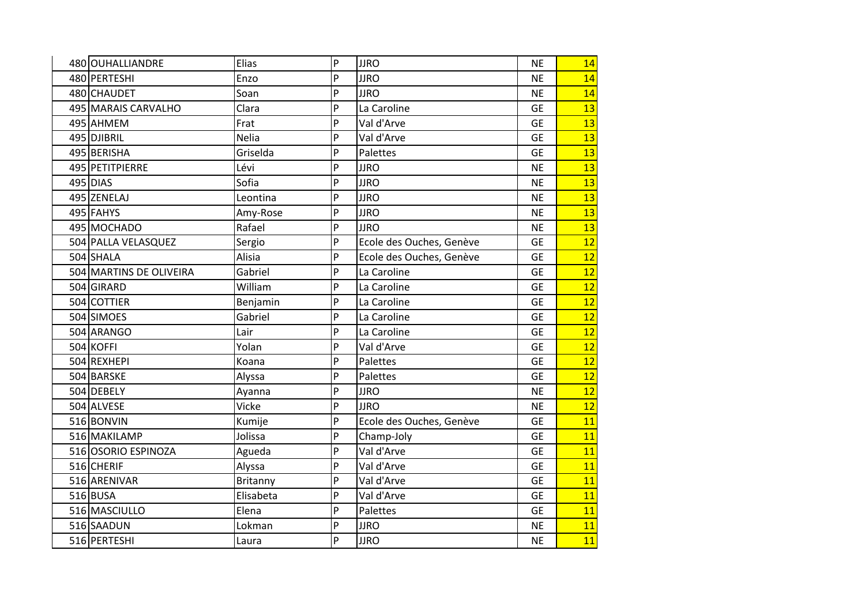| 480 OUHALLIANDRE        | Elias           | P | <b>JJRO</b>              | <b>NE</b> | 14 |
|-------------------------|-----------------|---|--------------------------|-----------|----|
| 480 PERTESHI            | Enzo            | P | <b>JJRO</b>              | <b>NE</b> | 14 |
| 480 CHAUDET             | Soan            | P | <b>JJRO</b>              | <b>NE</b> | 14 |
| 495 MARAIS CARVALHO     | Clara           | P | La Caroline              | <b>GE</b> | 13 |
| 495 AHMEM               | Frat            | P | Val d'Arve               | <b>GE</b> | 13 |
| 495 DJIBRIL             | <b>Nelia</b>    | P | Val d'Arve               | <b>GE</b> | 13 |
| 495 BERISHA             | Griselda        | P | Palettes                 | <b>GE</b> | 13 |
| 495 PETITPIERRE         | Lévi            | P | <b>JJRO</b>              | <b>NE</b> | 13 |
| 495 DIAS                | Sofia           | P | <b>JJRO</b>              | <b>NE</b> | 13 |
| 495 ZENELAJ             | Leontina        | P | <b>JJRO</b>              | <b>NE</b> | 13 |
| 495 FAHYS               | Amy-Rose        | P | <b>JJRO</b>              | <b>NE</b> | 13 |
| 495 MOCHADO             | Rafael          | P | <b>JJRO</b>              | <b>NE</b> | 13 |
| 504 PALLA VELASQUEZ     | Sergio          | P | Ecole des Ouches, Genève | <b>GE</b> | 12 |
| 504 SHALA               | Alisia          | P | Ecole des Ouches, Genève | <b>GE</b> | 12 |
| 504 MARTINS DE OLIVEIRA | Gabriel         | P | La Caroline              | <b>GE</b> | 12 |
| 504 GIRARD              | William         | P | La Caroline              | <b>GE</b> | 12 |
| 504 COTTIER             | Benjamin        | P | La Caroline              | <b>GE</b> | 12 |
| 504 SIMOES              | Gabriel         | P | La Caroline              | <b>GE</b> | 12 |
| 504 ARANGO              | Lair            | P | La Caroline              | <b>GE</b> | 12 |
| 504 KOFFI               | Yolan           | P | Val d'Arve               | <b>GE</b> | 12 |
| 504 REXHEPI             | Koana           | P | Palettes                 | <b>GE</b> | 12 |
| 504 BARSKE              | Alyssa          | P | Palettes                 | <b>GE</b> | 12 |
| 504 DEBELY              | Ayanna          | P | <b>JJRO</b>              | <b>NE</b> | 12 |
| 504 ALVESE              | Vicke           | P | <b>JJRO</b>              | <b>NE</b> | 12 |
| 516 BONVIN              | Kumije          | P | Ecole des Ouches, Genève | <b>GE</b> | 11 |
| 516 MAKILAMP            | Jolissa         | P | Champ-Joly               | <b>GE</b> | 11 |
| 516 OSORIO ESPINOZA     | Agueda          | P | Val d'Arve               | <b>GE</b> | 11 |
| 516 CHERIF              | Alyssa          | P | Val d'Arve               | <b>GE</b> | 11 |
| 516 ARENIVAR            | <b>Britanny</b> | P | Val d'Arve               | <b>GE</b> | 11 |
| $516$ BUSA              | Elisabeta       | P | Val d'Arve               | <b>GE</b> | 11 |
| 516 MASCIULLO           | Elena           | P | Palettes                 | <b>GE</b> | 11 |
| 516 SAADUN              | Lokman          | P | <b>JJRO</b>              | <b>NE</b> | 11 |
| 516 PERTESHI            | Laura           | P | <b>JJRO</b>              | <b>NE</b> | 11 |